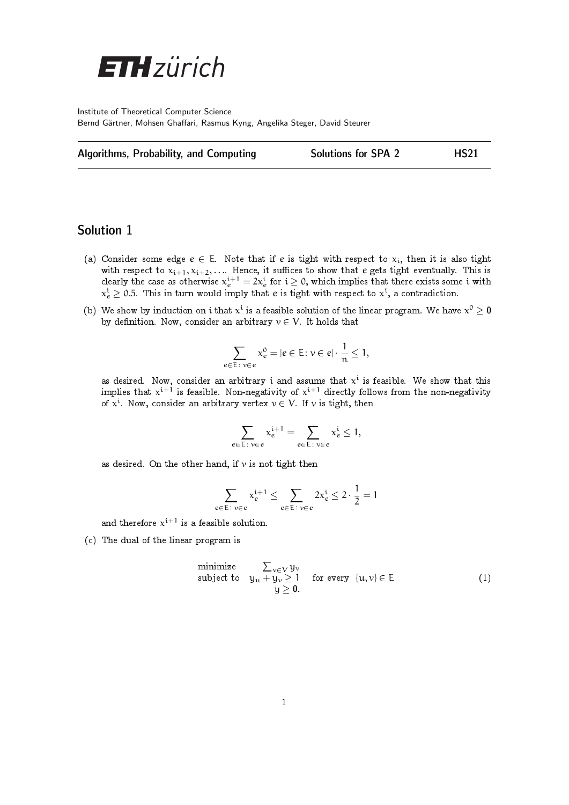

Institute of Theoretical Computer Science Bernd Gärtner, Mohsen Ghaffari, Rasmus Kyng, Angelika Steger, David Steurer

|  | Algorithms, Probability, and Computing |  |  |
|--|----------------------------------------|--|--|
|--|----------------------------------------|--|--|

## Solutions for SPA 2 HS21

## Solution 1

- (a) Consider some edge  $e \in E$ . Note that if e is tight with respect to  $x_i$ , then it is also tight with respect to  $x_{i+1}, x_{i+2}, \ldots$  Hence, it suffices to show that  $e$  gets tight eventually. This is clearly the case as otherwise  $\chi_e^{i+1} = 2\chi_e^i$  for  $i\geq 0,$  which implies that there exists some  $i$  with  $\mathrm{x_{e}^{i}} \geq$  0.5. This in turn would imply that  $e$  is tight with respect to  $\mathrm{x^{i}}$ , a contradiction.
- (b) We show by induction on i that  $x^i$  is a feasible solution of the linear program. We have  $x^0 \geq 0$ by definition. Now, consider an arbitrary  $v \in V$ . It holds that

$$
\sum_{e \in E : v \in e} x_e^0 = |e \in E : v \in e| \cdot \frac{1}{n} \le 1,
$$

as desired. Now, consider an arbitrary  ${\rm i}$  and assume that  ${\rm x}^{\rm i}$  is feasible. We show that this implies that  $x^{i+1}$  is feasible. Non-negativity of  $x^{i+1}$  directly follows from the non-negativity of  $x^{i}$ . Now, consider an arbitrary vertex  $v \in V$ . If  $v$  is tight, then

$$
\sum_{e\in E\colon \nu\in e}x_e^{i+1}=\sum_{e\in E\colon \nu\in e}x_e^i\le 1,
$$

as desired. On the other hand, if  $\nu$  is not tight then

$$
\sum_{e \in E \colon v \in e} x_e^{i+1} \leq \sum_{e \in E \colon v \in e} 2x_e^i \leq 2 \cdot \frac{1}{2} = 1
$$

and therefore  $x^{i+1}$  is a feasible solution.

(c) The dual of the linear program is

minimize 
$$
\sum_{v \in V} y_v
$$
  
\nsubject to  $y_u + y_v \ge 1$  for every  $\{u, v\} \in E$   
\n $y \ge 0$ . (1)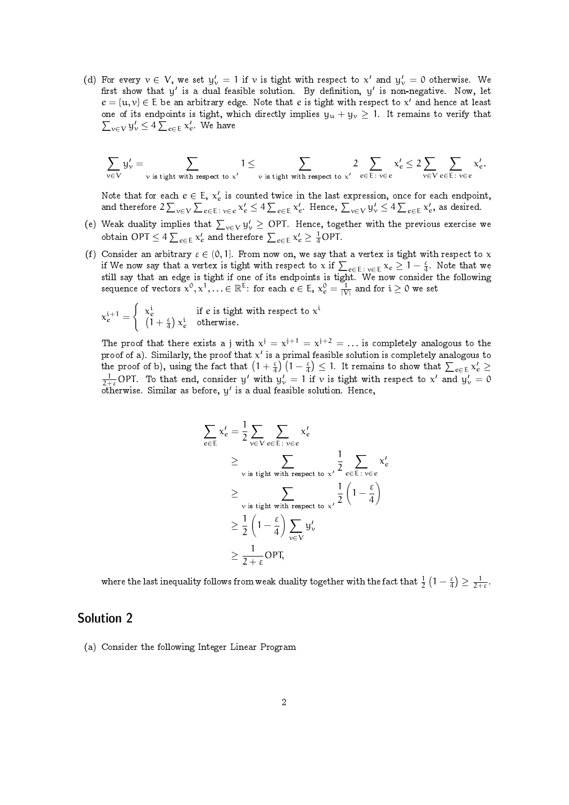(d) For every  $v \in V$ , we set  $y_v' = 1$  if v is tight with respect to  $x'$  and  $y_v' = 0$  otherwise. We first show that  $y'$  is a dual feasible solution. By definition,  $y'$  is non-negative. Now, let  $e = \{u, v\} \in E$  be an arbitrary edge. Note that e is tight with respect to x' and hence at least  $\sum_{v \in V} y'_v \leq 4 \sum_{e \in E} x'_e$ . We have one of its endpoints is tight, which directly implies  $y_u + y_v \ge 1$ . It remains to verify that

$$
\sum_{\nu \in V} y'_\nu = \sum_{\nu \text{ is tight with respect to } x'} 1 \leq \sum_{\nu \text{ is tight with respect to } x'} 2 \sum_{e \in E \colon \nu \in e} x'_e \leq 2 \sum_{\nu \in V} \sum_{e \in E \colon \nu \in e} x'_e.
$$

Note that for each  $e \in E, x'_e$  is counted twice in the last expression, once for each endpoint, and therefore  $2\sum_{v\in V}\sum_{e\in E\colon v\in e}\mathsf{x}'_e\leq 4\sum_{e\in E}\mathsf{x}'_e$ . Hence,  $\sum_{v\in V}\mathsf{y}'_v\leq 4\sum_{e\in E}\mathsf{x}'_e$ , as desired.

- (e) Weak duality implies that  $\sum_{v\in V} y'_v \geq$  OPT. Hence, together with the previous exercise we obtain OPT  $\leq 4\sum_{e\in \text{E}}\mathbf{x}'_e$  and therefore  $\sum_{e\in \text{E}}\mathbf{x}'_e\geq \frac{1}{4} \text{OPT}.$
- (f) Consider an arbitrary  $\varepsilon \in (0, 1]$ . From now on, we say that a vertex is tight with respect to x if We now say that a vertex is tight with respect to x if  $\sum_{e\in E\colon v\in E}\chi_e\geq 1-\frac{\varepsilon}{4}.$  Note that we still say that an edge is tight if one of its endpoints is tight. We now consider the following sequence of vectors  $\chi^0, \chi^1, \ldots \in \mathbb{R}^E$ : for each  $e \in E, \, \chi^0_e = \frac{1}{|V|}$  and for  $i \geq 0$  we set

$$
\chi_e^{\rm i+1} = \left\{ \begin{array}{ll} \chi_e^{\rm i} & \text{if } e \text{ is tight with respect to } \chi^{\rm i} \\ \left(1+\frac{\varepsilon}{4}\right)\chi_e^{\rm i} & \text{otherwise.} \end{array} \right.
$$

The proof that there exists a j with  $x^j = x^{j+1} = x^{j+2} = \ldots$  is completely analogous to the proof of a). Similarly, the proof that  $\mathsf{x}'$  is a primal feasible solution is completely analogous to the proof of b), using the fact that  $\left(1+\frac{\varepsilon}{4}\right)\left(1-\frac{\varepsilon}{4}\right)\leq 1.$  It remains to show that  $\sum_{e\in\mathsf{E}}\mathsf{x}'_e\geq$  $\frac{1}{2+\varepsilon}$ OPT. To that end, consider  $y'$  with  $y'_v = 1$  if  $v$  is tight with respect to  $x'$  and  $y'_v = 0$ otherwise. Similar as before, y 0 is a dual feasible solution. Hence,

$$
\sum_{e \in E} x'_e = \frac{1}{2} \sum_{v \in V} \sum_{e \in E : v \in e} x'_e
$$
\n
$$
\geq \sum_{v \text{ is tight with respect to } x'} \frac{1}{2} \sum_{e \in E : v \in e} x'_e
$$
\n
$$
\geq \sum_{v \text{ is tight with respect to } x'} \frac{1}{2} \left(1 - \frac{\varepsilon}{4}\right)
$$
\n
$$
\geq \frac{1}{2} \left(1 - \frac{\varepsilon}{4}\right) \sum_{v \in V} y'_v
$$
\n
$$
\geq \frac{1}{2 + \varepsilon} \text{OPT},
$$

where the last inequality follows from weak duality together with the fact that  $\frac{1}{2}(1-\frac{\varepsilon}{4})\geq\frac{1}{2+\varepsilon}.$ 

## Solution 2

(a) Consider the following Integer Linear Program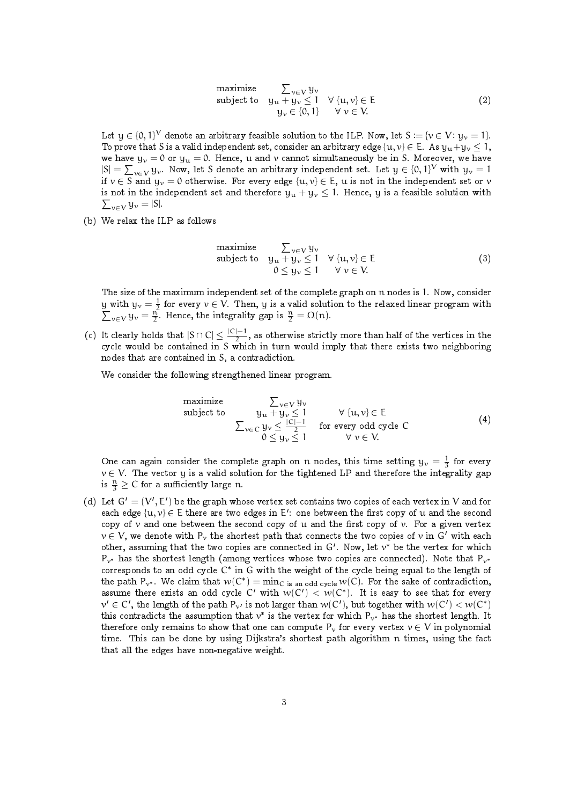maximize 
$$
\sum_{v \in V} y_v
$$
  
\nsubject to  $y_u + y_v \le 1 \quad \forall \{u, v\} \in E$   
\n $y_v \in \{0, 1\} \quad \forall v \in V.$  (2)

Let  $\mathrm{y}\in\{0,1\}^{\mathrm{V}}$  denote an arbitrary feasible solution to the ILP. Now, let  $\mathrm{S}:=\{\mathrm{v}\in\mathrm{V}\colon \mathrm{y}_\mathrm{v}=1\}$ . To prove that S is a valid independent set, consider an arbitrary edge  $\{u, v\} \in E$ . As  $y_u + y_v \le 1$ , we have  $y_v = 0$  or  $y_u = 0$ . Hence, u and v cannot simultaneously be in S. Moreover, we have  $|S| = \sum_{v \in V} y_v$ . Now, let S denote an arbitrary independent set. Let  $y \in \{0, 1\}^V$  with  $y_v = 1$ if  $v \in S$  and  $y_v = 0$  otherwise. For every edge  $\{u, v\} \in E$ , u is not in the independent set or v  $\sum_{v \in V} y_v = |S|.$ is not in the independent set and therefore  $y_u + y_v \le 1$ . Hence, y is a feasible solution with

(b) We relax the ILP as follows

maximize 
$$
\sum_{v \in V} y_v
$$
  
\nsubject to  $y_u + y_v \le 1 \quad \forall \{u, v\} \in E$   
\n $0 \le y_v \le 1 \quad \forall v \in V.$  (3)

The size of the maximum independent set of the complete graph on n nodes is 1. Now, consider  $\underline{y}$  with  $y_{\nu}=\frac{1}{2}$  for every  $\nu\in V$ . Then,  $y$  is a valid solution to the relaxed linear program with  $\sum_{v \in V} y_v = \frac{n}{2}$ . Hence, the integrality gap is  $\frac{n}{2} = \Omega(n)$ .

(c) It clearly holds that  $|S \cap C| \leq \frac{|C|-1}{2}$  $\frac{1}{2}$ , as otherwise strictly more than half of the vertices in the cycle would be contained in S which in turn would imply that there exists two neighboring nodes that are contained in S, a contradiction.

We consider the following strengthened linear program.

maximize  
\nsubject to  
\n
$$
\sum_{v \in V} y_v
$$
\n
$$
y_u + y_v \le 1 \qquad \forall \{u, v\} \in E
$$
\n
$$
\sum_{v \in C} y_v \le \frac{|C|-1}{2} \qquad \text{for every odd cycle } C
$$
\n
$$
0 \le y_v \le 1 \qquad \forall v \in V.
$$
\n(4)

One can again consider the complete graph on n nodes, this time setting  $y_v = \frac{1}{3}$  for every  $v \in V$ . The vector y is a valid solution for the tightened LP and therefore the integrality gap is  $\frac{n}{3} \geq C$  for a sufficiently large n.

(d) Let  $G' = (V', E')$  be the graph whose vertex set contains two copies of each vertex in V and for each edge  $\{u,v\} \in \mathsf{E}$  there are two edges in  $\mathsf{E}'$ : one between the first copy of  $\mathsf{u}$  and the second copy of  $\nu$  and one between the second copy of  $u$  and the first copy of  $\nu$ . For a given vertex  $v \in V$ , we denote with P<sub>v</sub> the shortest path that connects the two copies of v in G' with each other, assuming that the two copies are connected in  $G'$ . Now, let  $v^*$  be the vertex for which  $P_{v^*}$  has the shortest length (among vertices whose two copies are connected). Note that  $P_{v^*}$ corresponds to an odd cycle  $C^*$  in  $G$  with the weight of the cycle being equal to the length of the path  $P_{\mathcal{V}^*}$ . We claim that  $w(C^*) = \min_{C \text{ is an odd cycle}} w(C)$ . For the sake of contradiction, assume there exists an odd cycle C' with  $w(C') < w(C^*)$ . It is easy to see that for every  $v' \in C'$ , the length of the path  $P_{v'}$  is not larger than  $w(C')$ , but together with  $w(C') < w(C^*)$ this contradicts the assumption that  $v^*$  is the vertex for which  $P_{\nu^*}$  has the shortest length. It therefore only remains to show that one can compute  $P_v$  for every vertex  $v \in V$  in polynomial time. This can be done by using Dijkstra's shortest path algorithm n times, using the fact that all the edges have non-negative weight.